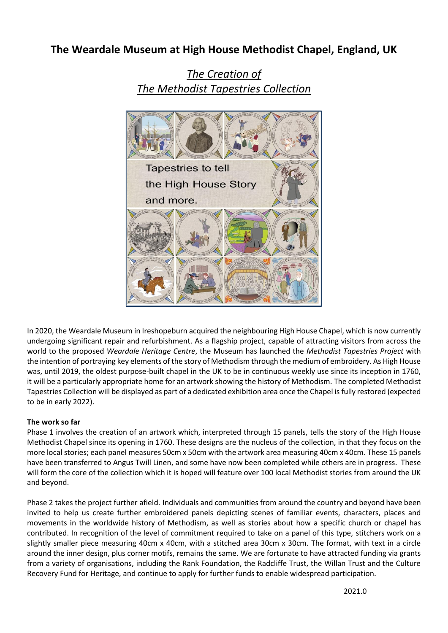# **The Weardale Museum at High House Methodist Chapel, England, UK**



*The Creation of The Methodist Tapestries Collection*

In 2020, the Weardale Museum in Ireshopeburn acquired the neighbouring High House Chapel, which is now currently undergoing significant repair and refurbishment. As a flagship project, capable of attracting visitors from across the world to the proposed *Weardale Heritage Centre*, the Museum has launched the *Methodist Tapestries Project* with the intention of portraying key elements of the story of Methodism through the medium of embroidery. As High House was, until 2019, the oldest purpose-built chapel in the UK to be in continuous weekly use since its inception in 1760, it will be a particularly appropriate home for an artwork showing the history of Methodism. The completed Methodist Tapestries Collection will be displayed as part of a dedicated exhibition area once the Chapel is fully restored (expected to be in early 2022).

## **The work so far**

Phase 1 involves the creation of an artwork which, interpreted through 15 panels, tells the story of the High House Methodist Chapel since its opening in 1760. These designs are the nucleus of the collection, in that they focus on the more local stories; each panel measures 50cm x 50cm with the artwork area measuring 40cm x 40cm. These 15 panels have been transferred to Angus Twill Linen, and some have now been completed while others are in progress. These will form the core of the collection which it is hoped will feature over 100 local Methodist stories from around the UK and beyond.

Phase 2 takes the project further afield. Individuals and communities from around the country and beyond have been invited to help us create further embroidered panels depicting scenes of familiar events, characters, places and movements in the worldwide history of Methodism, as well as stories about how a specific church or chapel has contributed. In recognition of the level of commitment required to take on a panel of this type, stitchers work on a slightly smaller piece measuring 40cm x 40cm, with a stitched area 30cm x 30cm. The format, with text in a circle around the inner design, plus corner motifs, remains the same. We are fortunate to have attracted funding via grants from a variety of organisations, including the Rank Foundation, the Radcliffe Trust, the Willan Trust and the Culture Recovery Fund for Heritage, and continue to apply for further funds to enable widespread participation.